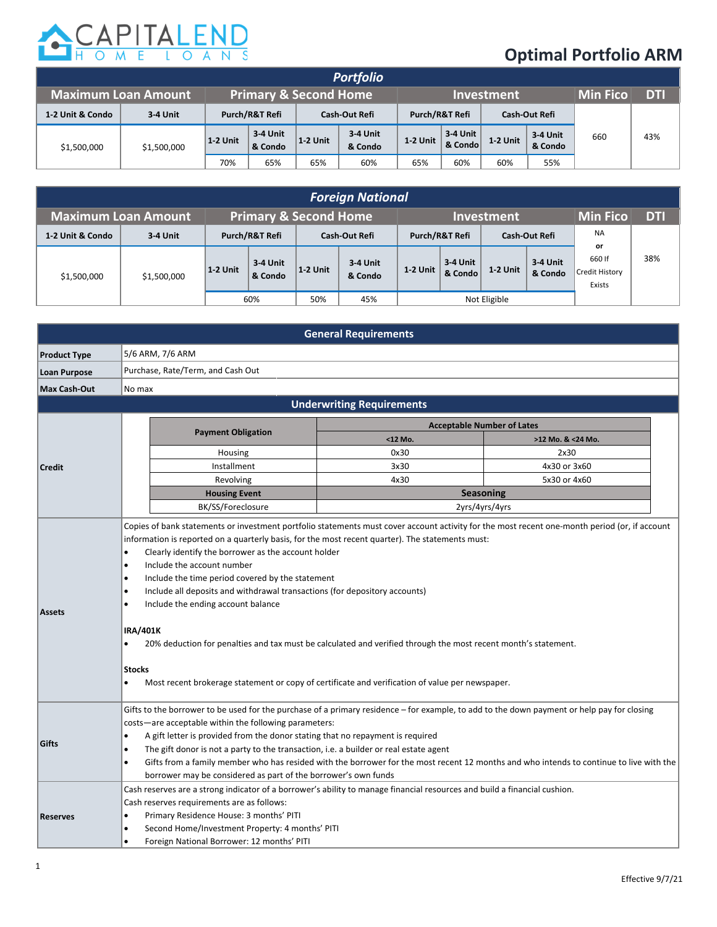

## **Optimal Portfolio ARM**

|                            |             |                                        |                     |                | <b>Portfolio</b>    |                      |                     |          |                     |                 |           |
|----------------------------|-------------|----------------------------------------|---------------------|----------------|---------------------|----------------------|---------------------|----------|---------------------|-----------------|-----------|
| <b>Maximum Loan Amount</b> |             | <b>Primary &amp; Second Home</b>       |                     |                |                     | <b>Investment</b>    |                     |          |                     | <b>Min Fico</b> | <b>DT</b> |
| 1-2 Unit & Condo           | 3-4 Unit    | Purch/R&T Refi<br><b>Cash-Out Refi</b> |                     | Purch/R&T Refi |                     | <b>Cash-Out Refi</b> |                     |          |                     |                 |           |
| \$1,500,000                | \$1,500,000 | 1-2 Unit                               | 3-4 Unit<br>& Condo | $12$ Unit      | 3 4 Unit<br>& Condo | 1-2 Unit             | 3-4 Unit<br>& Condo | 1 2 Unit | 3-4 Unit<br>& Condo | 660             | 43%       |
|                            |             | 70%                                    | 65%                 | 65%            | 60%                 | 65%                  | 60%                 | 60%      | 55%                 |                 |           |

| <b>Foreign National</b>    |             |                                  |                     |               |                     |                   |                     |               |                     |                                          |            |
|----------------------------|-------------|----------------------------------|---------------------|---------------|---------------------|-------------------|---------------------|---------------|---------------------|------------------------------------------|------------|
| <b>Maximum Loan Amount</b> |             | <b>Primary &amp; Second Home</b> |                     |               |                     | <b>Investment</b> |                     |               |                     | <b>Min Fico</b>                          | <b>DTI</b> |
| 1-2 Unit & Condo           | 3-4 Unit    | Purch/R&T Refi                   |                     | Cash-Out Refi |                     | Purch/R&T Refi    |                     | Cash-Out Refi |                     | <b>NA</b>                                |            |
| \$1,500,000                | \$1,500,000 | 1-2 Unit                         | 3-4 Unit<br>& Condo | $12$ Unit     | 3-4 Unit<br>& Condo | 1-2 Unit          | 3-4 Unit<br>& Condo | 1 2 Unit      | 3 4 Unit<br>& Condo | or<br>660 If<br>Credit History<br>Exists | 38%        |
|                            |             | 60%                              |                     | 50%           | 45%                 | Not Eligible      |                     |               |                     |                                          |            |

|                     |                                                                                                                                                                                                                                                                                                                                                                                                                                                                                                                                                                                                                                                                                                                                                                                                                                          | <b>General Requirements</b>      |                   |  |  |  |  |  |  |  |
|---------------------|------------------------------------------------------------------------------------------------------------------------------------------------------------------------------------------------------------------------------------------------------------------------------------------------------------------------------------------------------------------------------------------------------------------------------------------------------------------------------------------------------------------------------------------------------------------------------------------------------------------------------------------------------------------------------------------------------------------------------------------------------------------------------------------------------------------------------------------|----------------------------------|-------------------|--|--|--|--|--|--|--|
| <b>Product Type</b> | 5/6 ARM, 7/6 ARM                                                                                                                                                                                                                                                                                                                                                                                                                                                                                                                                                                                                                                                                                                                                                                                                                         |                                  |                   |  |  |  |  |  |  |  |
| <b>Loan Purpose</b> | Purchase, Rate/Term, and Cash Out                                                                                                                                                                                                                                                                                                                                                                                                                                                                                                                                                                                                                                                                                                                                                                                                        |                                  |                   |  |  |  |  |  |  |  |
| <b>Max Cash-Out</b> | No max                                                                                                                                                                                                                                                                                                                                                                                                                                                                                                                                                                                                                                                                                                                                                                                                                                   |                                  |                   |  |  |  |  |  |  |  |
|                     |                                                                                                                                                                                                                                                                                                                                                                                                                                                                                                                                                                                                                                                                                                                                                                                                                                          | <b>Underwriting Requirements</b> |                   |  |  |  |  |  |  |  |
|                     | <b>Acceptable Number of Lates</b>                                                                                                                                                                                                                                                                                                                                                                                                                                                                                                                                                                                                                                                                                                                                                                                                        |                                  |                   |  |  |  |  |  |  |  |
|                     | <b>Payment Obligation</b>                                                                                                                                                                                                                                                                                                                                                                                                                                                                                                                                                                                                                                                                                                                                                                                                                | <12 Mo.                          | >12 Mo. & <24 Mo. |  |  |  |  |  |  |  |
|                     | Housing                                                                                                                                                                                                                                                                                                                                                                                                                                                                                                                                                                                                                                                                                                                                                                                                                                  | 0x30                             | 2x30              |  |  |  |  |  |  |  |
| <b>Credit</b>       | Installment                                                                                                                                                                                                                                                                                                                                                                                                                                                                                                                                                                                                                                                                                                                                                                                                                              | 3x30                             | 4x30 or 3x60      |  |  |  |  |  |  |  |
|                     | Revolving                                                                                                                                                                                                                                                                                                                                                                                                                                                                                                                                                                                                                                                                                                                                                                                                                                | 4x30                             | 5x30 or 4x60      |  |  |  |  |  |  |  |
|                     | <b>Housing Event</b>                                                                                                                                                                                                                                                                                                                                                                                                                                                                                                                                                                                                                                                                                                                                                                                                                     |                                  | <b>Seasoning</b>  |  |  |  |  |  |  |  |
|                     | BK/SS/Foreclosure<br>2yrs/4yrs/4yrs                                                                                                                                                                                                                                                                                                                                                                                                                                                                                                                                                                                                                                                                                                                                                                                                      |                                  |                   |  |  |  |  |  |  |  |
| <b>Assets</b>       | Copies of bank statements or investment portfolio statements must cover account activity for the most recent one-month period (or, if account<br>information is reported on a quarterly basis, for the most recent quarter). The statements must:<br>Clearly identify the borrower as the account holder<br>$\bullet$<br>Include the account number<br>$\bullet$<br>Include the time period covered by the statement<br>$\bullet$<br>Include all deposits and withdrawal transactions (for depository accounts)<br>$\bullet$<br>Include the ending account balance<br><b>IRA/401K</b><br>20% deduction for penalties and tax must be calculated and verified through the most recent month's statement.<br>$\bullet$<br><b>Stocks</b><br>Most recent brokerage statement or copy of certificate and verification of value per newspaper. |                                  |                   |  |  |  |  |  |  |  |
| Gifts               | Gifts to the borrower to be used for the purchase of a primary residence – for example, to add to the down payment or help pay for closing<br>costs-are acceptable within the following parameters:<br>A gift letter is provided from the donor stating that no repayment is required<br>The gift donor is not a party to the transaction, i.e. a builder or real estate agent<br>$\bullet$<br>Gifts from a family member who has resided with the borrower for the most recent 12 months and who intends to continue to live with the<br>$\bullet$<br>borrower may be considered as part of the borrower's own funds                                                                                                                                                                                                                    |                                  |                   |  |  |  |  |  |  |  |
| <b>Reserves</b>     | Cash reserves are a strong indicator of a borrower's ability to manage financial resources and build a financial cushion.<br>Cash reserves requirements are as follows:<br>Primary Residence House: 3 months' PITI<br>Second Home/Investment Property: 4 months' PITI<br>Foreign National Borrower: 12 months' PITI<br>$\bullet$                                                                                                                                                                                                                                                                                                                                                                                                                                                                                                         |                                  |                   |  |  |  |  |  |  |  |